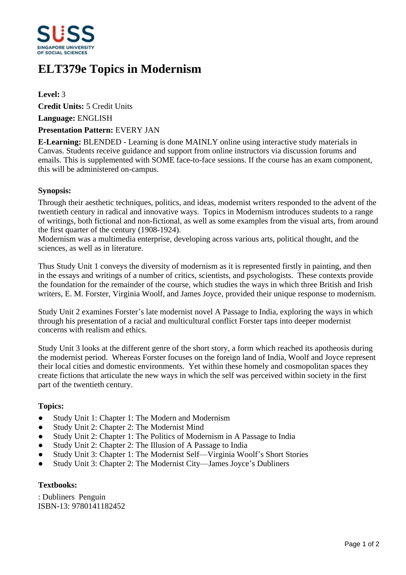

# **ELT379e Topics in Modernism**

**Level:** 3 **Credit Units:** 5 Credit Units **Language:** ENGLISH

### **Presentation Pattern:** EVERY JAN

**E-Learning:** BLENDED - Learning is done MAINLY online using interactive study materials in Canvas. Students receive guidance and support from online instructors via discussion forums and emails. This is supplemented with SOME face-to-face sessions. If the course has an exam component, this will be administered on-campus.

## **Synopsis:**

Through their aesthetic techniques, politics, and ideas, modernist writers responded to the advent of the twentieth century in radical and innovative ways. Topics in Modernism introduces students to a range of writings, both fictional and non-fictional, as well as some examples from the visual arts, from around the first quarter of the century (1908-1924).

Modernism was a multimedia enterprise, developing across various arts, political thought, and the sciences, as well as in literature.

Thus Study Unit 1 conveys the diversity of modernism as it is represented firstly in painting, and then in the essays and writings of a number of critics, scientists, and psychologists. These contexts provide the foundation for the remainder of the course, which studies the ways in which three British and Irish writers, E. M. Forster, Virginia Woolf, and James Joyce, provided their unique response to modernism.

Study Unit 2 examines Forster's late modernist novel A Passage to India, exploring the ways in which through his presentation of a racial and multicultural conflict Forster taps into deeper modernist concerns with realism and ethics.

Study Unit 3 looks at the different genre of the short story, a form which reached its apotheosis during the modernist period. Whereas Forster focuses on the foreign land of India, Woolf and Joyce represent their local cities and domestic environments. Yet within these homely and cosmopolitan spaces they create fictions that articulate the new ways in which the self was perceived within society in the first part of the twentieth century.

#### **Topics:**

- Study Unit 1: Chapter 1: The Modern and Modernism
- Study Unit 2: Chapter 2: The Modernist Mind
- Study Unit 2: Chapter 1: The Politics of Modernism in A Passage to India
- Study Unit 2: Chapter 2: The Illusion of A Passage to India
- Study Unit 3: Chapter 1: The Modernist Self—Virginia Woolf's Short Stories
- Study Unit 3: Chapter 2: The Modernist City—James Joyce's Dubliners

#### **Textbooks:**

: Dubliners Penguin ISBN-13: 9780141182452